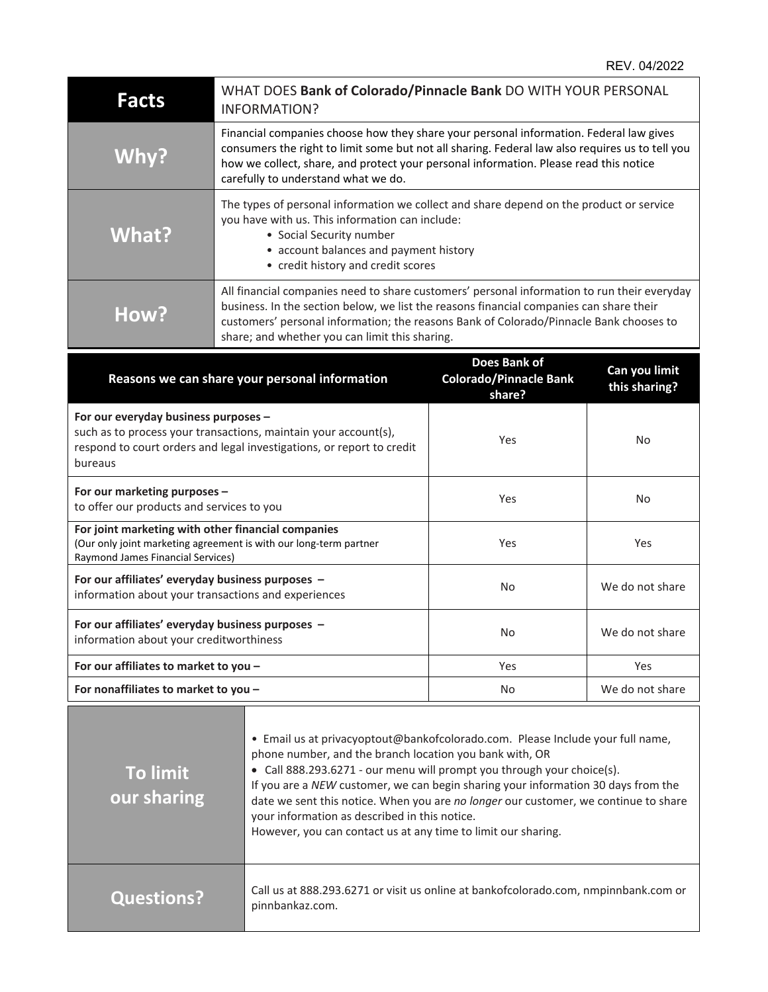| <b>Facts</b>                                                                                                                                                                                | WHAT DOES Bank of Colorado/Pinnacle Bank DO WITH YOUR PERSONAL<br><b>INFORMATION?</b>                                                                                                                                                                                                                                              |                                                             |                                |
|---------------------------------------------------------------------------------------------------------------------------------------------------------------------------------------------|------------------------------------------------------------------------------------------------------------------------------------------------------------------------------------------------------------------------------------------------------------------------------------------------------------------------------------|-------------------------------------------------------------|--------------------------------|
| Why?                                                                                                                                                                                        | Financial companies choose how they share your personal information. Federal law gives<br>consumers the right to limit some but not all sharing. Federal law also requires us to tell you<br>how we collect, share, and protect your personal information. Please read this notice<br>carefully to understand what we do.          |                                                             |                                |
| What?                                                                                                                                                                                       | The types of personal information we collect and share depend on the product or service<br>you have with us. This information can include:<br>• Social Security number<br>• account balances and payment history<br>• credit history and credit scores                                                                             |                                                             |                                |
| How?                                                                                                                                                                                        | All financial companies need to share customers' personal information to run their everyday<br>business. In the section below, we list the reasons financial companies can share their<br>customers' personal information; the reasons Bank of Colorado/Pinnacle Bank chooses to<br>share; and whether you can limit this sharing. |                                                             |                                |
|                                                                                                                                                                                             | Reasons we can share your personal information                                                                                                                                                                                                                                                                                     | Does Bank of<br><b>Colorado/Pinnacle Bank</b><br>share?     | Can you limit<br>this sharing? |
| For our everyday business purposes -<br>such as to process your transactions, maintain your account(s),<br>respond to court orders and legal investigations, or report to credit<br>bureaus |                                                                                                                                                                                                                                                                                                                                    | Yes                                                         | No                             |
| For our marketing purposes -<br>to offer our products and services to you                                                                                                                   |                                                                                                                                                                                                                                                                                                                                    | Yes                                                         | No                             |
| For joint marketing with other financial companies<br>(Our only joint marketing agreement is with our long-term partner<br>Raymond James Financial Services)                                |                                                                                                                                                                                                                                                                                                                                    | Yes                                                         | Yes                            |
| For our affiliates' everyday business purposes -<br>information about your transactions and experiences                                                                                     |                                                                                                                                                                                                                                                                                                                                    | No                                                          | We do not share                |
| For our affiliates' everyday business purposes -<br>information about your creditworthiness                                                                                                 |                                                                                                                                                                                                                                                                                                                                    | No.                                                         | We do not share                |
| For our affiliates to market to you -                                                                                                                                                       |                                                                                                                                                                                                                                                                                                                                    | Yes                                                         | Yes                            |
| For nonaffiliates to market to you -                                                                                                                                                        |                                                                                                                                                                                                                                                                                                                                    | No                                                          | We do not share                |
| To limit<br><b>OUL</b> sharing                                                                                                                                                              | • Email us at privacyoptout@bankofcolorado.com. Please Include your full name,<br>phone number, and the branch location you bank with, OR<br>• Call 888.293.6271 - our menu will prompt you through your choice(s).<br>If you are a NEW customer, we can begin sharing your information 30 days from the                           | cont this potico Whop vou are no longer our sustamer, we so |                                |

| our sharing       | If you are a NEW customer, we can begin sharing your information 30 days from the<br>date we sent this notice. When you are no longer our customer, we continue to share<br>your information as described in this notice.<br>However, you can contact us at any time to limit our sharing. |
|-------------------|--------------------------------------------------------------------------------------------------------------------------------------------------------------------------------------------------------------------------------------------------------------------------------------------|
| <b>Questions?</b> | Call us at 888.293.6271 or visit us online at bankofcolorado.com, nmpinnbank.com or<br>ninnhankaz com                                                                                                                                                                                      |

pinnbankaz.com.